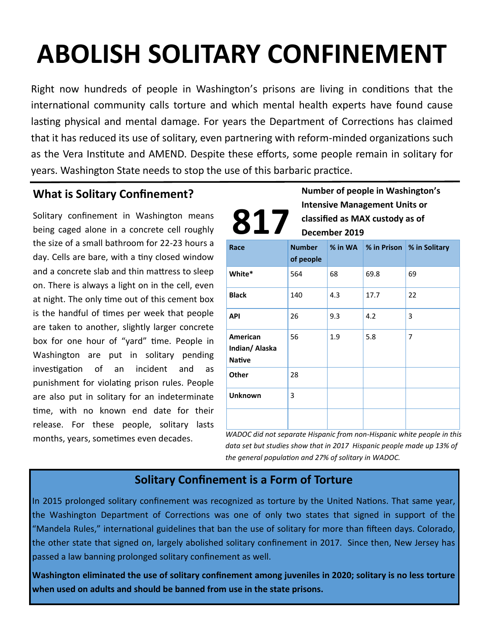# **ABOLISH SOLITARY CONFINEMENT**

Right now hundreds of people in Washington's prisons are living in conditions that the international community calls torture and which mental health experts have found cause lasting physical and mental damage. For years the Department of Corrections has claimed that it has reduced its use of solitary, even partnering with reform-minded organizations such as the Vera Institute and AMEND. Despite these efforts, some people remain in solitary for years. Washington State needs to stop the use of this barbaric practice.

# **What is Solitary Confinement?**

Solitary confinement in Washington means being caged alone in a concrete cell roughly the size of a small bathroom for 22-23 hours a day. Cells are bare, with a tiny closed window and a concrete slab and thin mattress to sleep on. There is always a light on in the cell, even at night. The only time out of this cement box is the handful of times per week that people are taken to another, slightly larger concrete box for one hour of "yard" time. People in Washington are put in solitary pending investigation of an incident and as punishment for violating prison rules. People are also put in solitary for an indeterminate time, with no known end date for their release. For these people, solitary lasts months, years, sometimes even decades.

**Number of people in Washington's Intensive Management Units or classified as MAX custody as of December 2019 817**

| Race                                        | <b>Number</b><br>of people |     |      | % in WA % in Prison   % in Solitary |
|---------------------------------------------|----------------------------|-----|------|-------------------------------------|
| White*                                      | 564                        | 68  | 69.8 | 69                                  |
| <b>Black</b>                                | 140                        | 4.3 | 17.7 | 22                                  |
| <b>API</b>                                  | 26                         | 9.3 | 4.2  | 3                                   |
| American<br>Indian/ Alaska<br><b>Native</b> | 56                         | 1.9 | 5.8  | 7                                   |
| <b>Other</b>                                | 28                         |     |      |                                     |
| Unknown                                     | 3                          |     |      |                                     |
|                                             |                            |     |      |                                     |

*WADOC did not separate Hispanic from non-Hispanic white people in this data set but studies show that in 2017 Hispanic people made up 13% of the general population and 27% of solitary in WADOC.* 

### **Solitary Confinement is a Form of Torture**

In 2015 prolonged solitary confinement was recognized as torture by the United Nations. That same year, the Washington Department of Corrections was one of only two states that signed in support of the "Mandela Rules," international guidelines that ban the use of solitary for more than fifteen days. Colorado, the other state that signed on, largely abolished solitary confinement in 2017. Since then, New Jersey has passed a law banning prolonged solitary confinement as well.

**Washington eliminated the use of solitary confinement among juveniles in 2020; solitary is no less torture when used on adults and should be banned from use in the state prisons.**